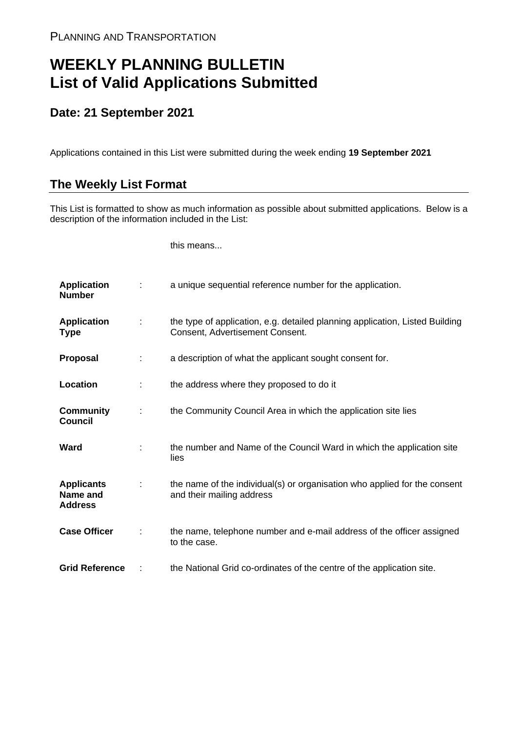## **WEEKLY PLANNING BULLETIN List of Valid Applications Submitted**

## **Date: 21 September 2021**

Applications contained in this List were submitted during the week ending **19 September 2021**

## **The Weekly List Format**

This List is formatted to show as much information as possible about submitted applications. Below is a description of the information included in the List:

this means...

| <b>Application</b><br><b>Number</b>             |   | a unique sequential reference number for the application.                                                       |
|-------------------------------------------------|---|-----------------------------------------------------------------------------------------------------------------|
| <b>Application</b><br><b>Type</b>               |   | the type of application, e.g. detailed planning application, Listed Building<br>Consent, Advertisement Consent. |
| Proposal                                        |   | a description of what the applicant sought consent for.                                                         |
| Location                                        |   | the address where they proposed to do it                                                                        |
| <b>Community</b><br><b>Council</b>              | ÷ | the Community Council Area in which the application site lies                                                   |
| Ward                                            |   | the number and Name of the Council Ward in which the application site<br>lies                                   |
| <b>Applicants</b><br>Name and<br><b>Address</b> |   | the name of the individual(s) or organisation who applied for the consent<br>and their mailing address          |
| <b>Case Officer</b>                             |   | the name, telephone number and e-mail address of the officer assigned<br>to the case.                           |
| <b>Grid Reference</b>                           |   | the National Grid co-ordinates of the centre of the application site.                                           |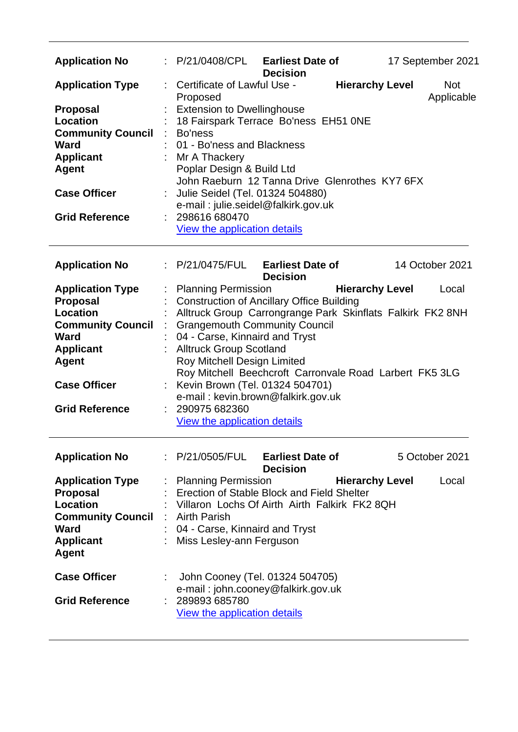| <b>Application No</b>                                                                                                                                                                        | : P/21/0408/CPL                                                                                                                                                                                                                                                                                  | <b>Earliest Date of</b><br><b>Decision</b>                                                                                |                                                                                                                                                 | 17 September 2021        |
|----------------------------------------------------------------------------------------------------------------------------------------------------------------------------------------------|--------------------------------------------------------------------------------------------------------------------------------------------------------------------------------------------------------------------------------------------------------------------------------------------------|---------------------------------------------------------------------------------------------------------------------------|-------------------------------------------------------------------------------------------------------------------------------------------------|--------------------------|
| <b>Application Type</b><br><b>Proposal</b><br><b>Location</b><br><b>Community Council</b><br><b>Ward</b><br><b>Applicant</b><br><b>Agent</b><br><b>Case Officer</b><br><b>Grid Reference</b> | : Certificate of Lawful Use -<br>Proposed<br><b>Extension to Dwellinghouse</b><br>Bo'ness<br>$\mathcal{L}^{\mathcal{L}}$<br>01 - Bo'ness and Blackness<br>Mr A Thackery<br>Poplar Design & Build Ltd<br>Julie Seidel (Tel. 01324 504880)<br>298616 680470<br><b>View the application details</b> | 18 Fairspark Terrace Bo'ness EH51 ONE<br>e-mail: julie.seidel@falkirk.gov.uk                                              | <b>Hierarchy Level</b><br>John Raeburn 12 Tanna Drive Glenrothes KY7 6FX                                                                        | <b>Not</b><br>Applicable |
| <b>Application No</b>                                                                                                                                                                        | $\therefore$ P/21/0475/FUL Earliest Date of                                                                                                                                                                                                                                                      | <b>Decision</b>                                                                                                           |                                                                                                                                                 | 14 October 2021          |
| <b>Application Type</b><br><b>Proposal</b><br><b>Location</b><br><b>Community Council</b><br><b>Ward</b><br><b>Applicant</b><br><b>Agent</b><br><b>Case Officer</b><br><b>Grid Reference</b> | : Planning Permission<br>: Grangemouth Community Council<br>04 - Carse, Kinnaird and Tryst<br>: Alltruck Group Scotland<br>Roy Mitchell Design Limited<br>: 290975 682360<br><b>View the application details</b>                                                                                 | <b>Construction of Ancillary Office Building</b><br>Kevin Brown (Tel. 01324 504701)<br>e-mail: kevin.brown@falkirk.gov.uk | <b>Hierarchy Level</b><br>Alltruck Group Carrongrange Park Skinflats Falkirk FK2 8NH<br>Roy Mitchell Beechcroft Carronvale Road Larbert FK5 3LG | Local                    |
| <b>Application No</b>                                                                                                                                                                        | : P/21/0505/FUL                                                                                                                                                                                                                                                                                  | <b>Earliest Date of</b><br><b>Decision</b>                                                                                |                                                                                                                                                 | 5 October 2021           |
| <b>Application Type</b><br><b>Proposal</b><br>Location<br><b>Community Council</b><br><b>Ward</b><br><b>Applicant</b><br><b>Agent</b>                                                        | <b>Planning Permission</b><br>: Erection of Stable Block and Field Shelter<br>: Villaron Lochs Of Airth Airth Falkirk FK2 8QH<br>: Airth Parish<br>: 04 - Carse, Kinnaird and Tryst<br>: Miss Lesley-ann Ferguson                                                                                |                                                                                                                           | <b>Hierarchy Level</b>                                                                                                                          | Local                    |
| <b>Case Officer</b><br><b>Grid Reference</b>                                                                                                                                                 | 289893 685780<br>View the application details                                                                                                                                                                                                                                                    | John Cooney (Tel. 01324 504705)<br>e-mail: john.cooney@falkirk.gov.uk                                                     |                                                                                                                                                 |                          |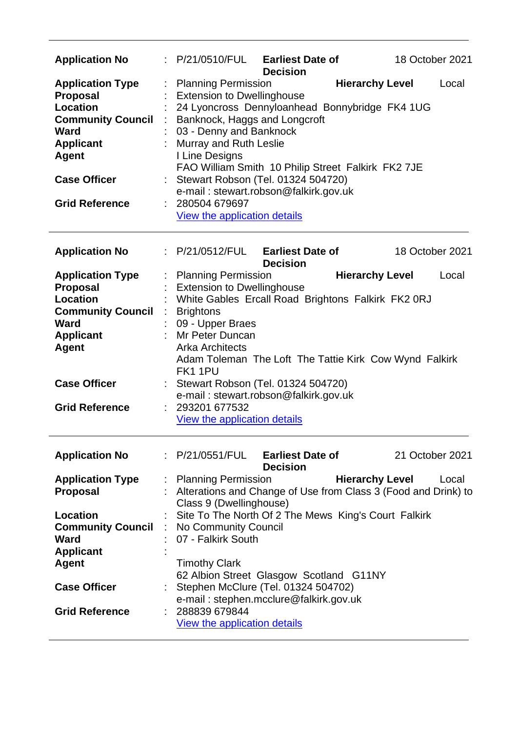| <b>Application No</b>                                                                                                                                                                        | : P/21/0510/FUL Earliest Date of<br><b>Decision</b>                                                                                                                                                                                                                                                                                                                                                                               | 18 October 2021                 |
|----------------------------------------------------------------------------------------------------------------------------------------------------------------------------------------------|-----------------------------------------------------------------------------------------------------------------------------------------------------------------------------------------------------------------------------------------------------------------------------------------------------------------------------------------------------------------------------------------------------------------------------------|---------------------------------|
| <b>Application Type</b><br><b>Proposal</b><br><b>Location</b><br><b>Community Council</b><br><b>Ward</b><br><b>Applicant</b><br><b>Agent</b><br><b>Case Officer</b><br><b>Grid Reference</b> | <b>Planning Permission</b><br><b>Extension to Dwellinghouse</b><br>24 Lyoncross Dennyloanhead Bonnybridge FK4 1UG<br>Banknock, Haggs and Longcroft<br>03 - Denny and Banknock<br>Murray and Ruth Leslie<br>I Line Designs<br>FAO William Smith 10 Philip Street Falkirk FK2 7JE<br>Stewart Robson (Tel. 01324 504720)<br>e-mail: stewart.robson@falkirk.gov.uk<br>280504 679697<br><b>View the application details</b>            | <b>Hierarchy Level</b><br>Local |
| <b>Application No</b>                                                                                                                                                                        | : P/21/0512/FUL Earliest Date of                                                                                                                                                                                                                                                                                                                                                                                                  | 18 October 2021                 |
| <b>Application Type</b><br><b>Proposal</b><br><b>Location</b><br><b>Community Council</b><br><b>Ward</b><br><b>Applicant</b><br><b>Agent</b><br><b>Case Officer</b><br><b>Grid Reference</b> | <b>Decision</b><br><b>Planning Permission</b><br><b>Extension to Dwellinghouse</b><br>White Gables Ercall Road Brightons Falkirk FK2 0RJ<br><b>Brightons</b><br>09 - Upper Braes<br>Mr Peter Duncan<br><b>Arka Architects</b><br>Adam Toleman The Loft The Tattie Kirk Cow Wynd Falkirk<br>FK11PU<br>Stewart Robson (Tel. 01324 504720)<br>e-mail: stewart.robson@falkirk.gov.uk<br>293201 677532<br>View the application details | <b>Hierarchy Level</b><br>Local |
| <b>Application No</b>                                                                                                                                                                        | : P/21/0551/FUL Earliest Date of<br><b>Decision</b>                                                                                                                                                                                                                                                                                                                                                                               | 21 October 2021                 |
| <b>Application Type</b><br><b>Proposal</b><br><b>Location</b><br><b>Community Council</b><br><b>Ward</b>                                                                                     | <b>Planning Permission</b><br>Alterations and Change of Use from Class 3 (Food and Drink) to<br>Class 9 (Dwellinghouse)<br>Site To The North Of 2 The Mews King's Court Falkirk<br>No Community Council<br>07 - Falkirk South                                                                                                                                                                                                     | <b>Hierarchy Level</b><br>Local |
| <b>Applicant</b><br>Agent<br><b>Case Officer</b><br><b>Grid Reference</b>                                                                                                                    | <b>Timothy Clark</b><br>62 Albion Street Glasgow Scotland G11NY<br>Stephen McClure (Tel. 01324 504702)<br>e-mail: stephen.mcclure@falkirk.gov.uk<br>288839 679844<br><b>View the application details</b>                                                                                                                                                                                                                          |                                 |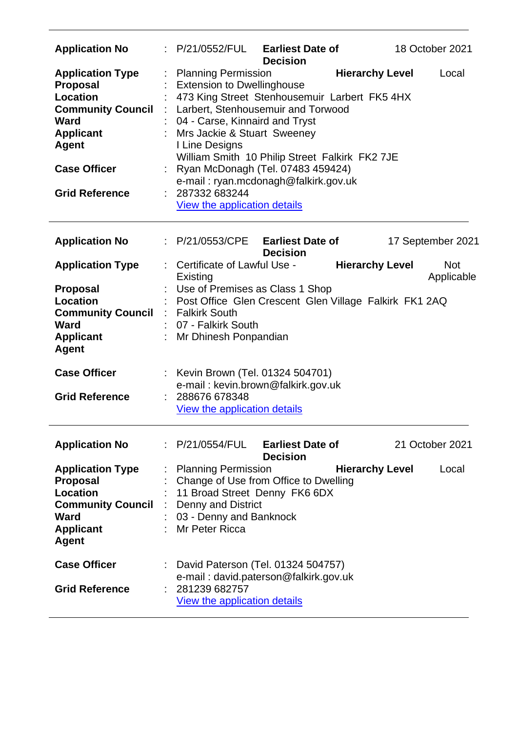| <b>Application No</b>                                                                                                                                                                 | : P/21/0552/FUL                                                                                                                                                     | <b>Earliest Date of</b><br><b>Decision</b>                                                                                                                                                                         | 18 October 2021                                    |
|---------------------------------------------------------------------------------------------------------------------------------------------------------------------------------------|---------------------------------------------------------------------------------------------------------------------------------------------------------------------|--------------------------------------------------------------------------------------------------------------------------------------------------------------------------------------------------------------------|----------------------------------------------------|
| <b>Application Type</b><br><b>Proposal</b><br><b>Location</b><br><b>Community Council</b><br>Ward<br><b>Applicant</b><br><b>Agent</b><br><b>Case Officer</b><br><b>Grid Reference</b> | <b>Planning Permission</b><br><b>Extension to Dwellinghouse</b><br>04 - Carse, Kinnaird and Tryst<br>Mrs Jackie & Stuart Sweeney<br>I Line Designs<br>287332 683244 | 473 King Street Stenhousemuir Larbert FK5 4HX<br>Larbert, Stenhousemuir and Torwood<br>William Smith 10 Philip Street Falkirk FK2 7JE<br>Ryan McDonagh (Tel. 07483 459424)<br>e-mail: ryan.mcdonagh@falkirk.gov.uk | <b>Hierarchy Level</b><br>Local                    |
|                                                                                                                                                                                       | View the application details                                                                                                                                        |                                                                                                                                                                                                                    |                                                    |
| <b>Application No</b>                                                                                                                                                                 | : P/21/0553/CPE                                                                                                                                                     | <b>Earliest Date of</b><br><b>Decision</b>                                                                                                                                                                         | 17 September 2021                                  |
| <b>Application Type</b>                                                                                                                                                               | : Certificate of Lawful Use -<br>Existing                                                                                                                           |                                                                                                                                                                                                                    | <b>Hierarchy Level</b><br><b>Not</b><br>Applicable |
| <b>Proposal</b><br><b>Location</b><br><b>Community Council</b><br>Ward<br><b>Applicant</b><br><b>Agent</b>                                                                            | : Falkirk South<br>07 - Falkirk South<br>Mr Dhinesh Ponpandian                                                                                                      | Use of Premises as Class 1 Shop<br>: Post Office Glen Crescent Glen Village Falkirk FK1 2AQ                                                                                                                        |                                                    |
| <b>Case Officer</b><br><b>Grid Reference</b>                                                                                                                                          | : Kevin Brown (Tel. 01324 504701)<br>: 288676 678348<br>View the application details                                                                                | e-mail: kevin.brown@falkirk.gov.uk                                                                                                                                                                                 |                                                    |
| <b>Application No</b>                                                                                                                                                                 | :P/21/0554/FUL                                                                                                                                                      | <b>Earliest Date of</b><br><b>Decision</b>                                                                                                                                                                         | 21 October 2021                                    |
| <b>Application Type</b><br><b>Proposal</b><br>Location<br><b>Community Council</b><br>Ward<br><b>Applicant</b><br><b>Agent</b>                                                        | : Planning Permission<br><b>Denny and District</b><br>÷.<br>03 - Denny and Banknock<br>Mr Peter Ricca                                                               | Change of Use from Office to Dwelling<br>11 Broad Street Denny FK6 6DX                                                                                                                                             | <b>Hierarchy Level</b><br>Local                    |
| <b>Case Officer</b><br><b>Grid Reference</b>                                                                                                                                          | 281239 682757<br><b>View the application details</b>                                                                                                                | : David Paterson (Tel. 01324 504757)<br>e-mail: david.paterson@falkirk.gov.uk                                                                                                                                      |                                                    |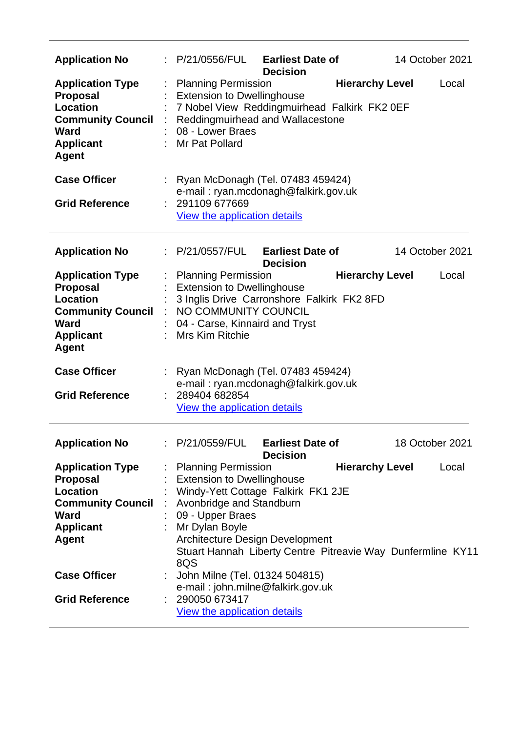| <b>Application No</b>                                                                                                                        | : P/21/0556/FUL                                                                                                                                   | <b>Earliest Date of</b><br><b>Decision</b>                                                                                           | 14 October 2021                 |
|----------------------------------------------------------------------------------------------------------------------------------------------|---------------------------------------------------------------------------------------------------------------------------------------------------|--------------------------------------------------------------------------------------------------------------------------------------|---------------------------------|
| <b>Application Type</b><br><b>Proposal</b><br><b>Location</b><br><b>Community Council</b><br><b>Ward</b><br><b>Applicant</b><br><b>Agent</b> | <b>Planning Permission</b><br><b>Extension to Dwellinghouse</b><br>08 - Lower Braes<br>Mr Pat Pollard                                             | 7 Nobel View Reddingmuirhead Falkirk FK2 0EF<br>Reddingmuirhead and Wallacestone                                                     | <b>Hierarchy Level</b><br>Local |
| <b>Case Officer</b><br><b>Grid Reference</b>                                                                                                 | : 291109 677669<br>View the application details                                                                                                   | : Ryan McDonagh (Tel. 07483 459424)<br>e-mail: ryan.mcdonagh@falkirk.gov.uk                                                          |                                 |
| <b>Application No</b>                                                                                                                        | : P/21/0557/FUL                                                                                                                                   | <b>Earliest Date of</b><br><b>Decision</b>                                                                                           | 14 October 2021                 |
| <b>Application Type</b><br><b>Proposal</b><br>Location<br><b>Community Council</b><br><b>Ward</b><br><b>Applicant</b><br><b>Agent</b>        | <b>Planning Permission</b><br><b>Extension to Dwellinghouse</b><br>NO COMMUNITY COUNCIL<br>÷<br>04 - Carse, Kinnaird and Tryst<br>Mrs Kim Ritchie | 3 Inglis Drive Carronshore Falkirk FK2 8FD                                                                                           | <b>Hierarchy Level</b><br>Local |
| <b>Case Officer</b><br><b>Grid Reference</b>                                                                                                 | 289404 682854<br>View the application details                                                                                                     | Ryan McDonagh (Tel. 07483 459424)<br>e-mail: ryan.mcdonagh@falkirk.gov.uk                                                            |                                 |
| <b>Application No</b>                                                                                                                        | : P/21/0559/FUL                                                                                                                                   | <b>Earliest Date of</b><br><b>Decision</b>                                                                                           | 18 October 2021                 |
| <b>Application Type</b><br><b>Proposal</b><br><b>Location</b><br><b>Community Council</b><br><b>Ward</b><br><b>Applicant</b><br><b>Agent</b> | : Planning Permission<br><b>Extension to Dwellinghouse</b><br>Avonbridge and Standburn<br>t.<br>09 - Upper Braes<br>Mr Dylan Boyle<br>8QS         | Windy-Yett Cottage Falkirk FK1 2JE<br>Architecture Design Development<br>Stuart Hannah Liberty Centre Pitreavie Way Dunfermline KY11 | <b>Hierarchy Level</b><br>Local |
| <b>Case Officer</b><br><b>Grid Reference</b>                                                                                                 | 290050 673417                                                                                                                                     | John Milne (Tel. 01324 504815)<br>e-mail: john.milne@falkirk.gov.uk                                                                  |                                 |
|                                                                                                                                              |                                                                                                                                                   |                                                                                                                                      |                                 |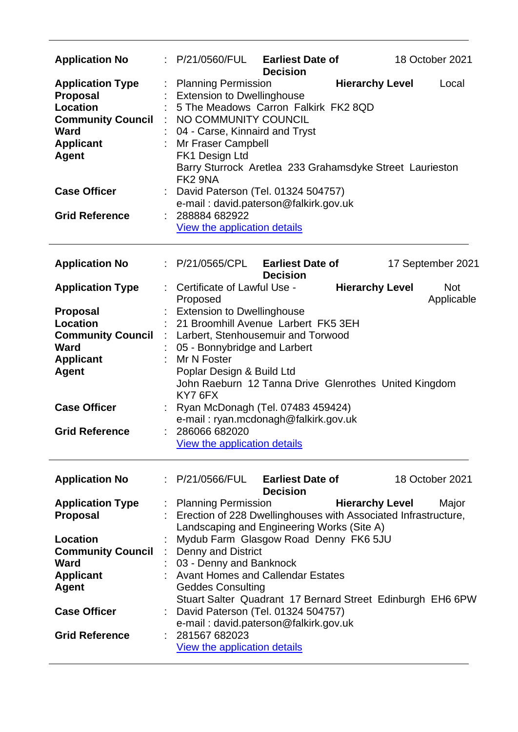| <b>Application No</b>                                                                                                                        |   | P/21/0560/FUL<br><b>Earliest Date of</b><br>18 October 2021<br><b>Decision</b>                                                                                                                                                                                                                                                              |
|----------------------------------------------------------------------------------------------------------------------------------------------|---|---------------------------------------------------------------------------------------------------------------------------------------------------------------------------------------------------------------------------------------------------------------------------------------------------------------------------------------------|
| <b>Application Type</b><br><b>Proposal</b><br><b>Location</b><br><b>Community Council</b><br><b>Ward</b><br><b>Applicant</b><br><b>Agent</b> |   | <b>Hierarchy Level</b><br><b>Planning Permission</b><br>Local<br><b>Extension to Dwellinghouse</b><br>5 The Meadows Carron Falkirk FK2 8QD<br>: NO COMMUNITY COUNCIL<br>04 - Carse, Kinnaird and Tryst<br>Mr Fraser Campbell<br>FK1 Design Ltd<br>Barry Sturrock Aretlea 233 Grahamsdyke Street Laurieston<br>FK2 9NA                       |
| <b>Case Officer</b>                                                                                                                          |   | : David Paterson (Tel. 01324 504757)<br>e-mail: david.paterson@falkirk.gov.uk                                                                                                                                                                                                                                                               |
| <b>Grid Reference</b>                                                                                                                        |   | 288884 682922<br>View the application details                                                                                                                                                                                                                                                                                               |
| <b>Application No</b>                                                                                                                        |   | : P/21/0565/CPL<br><b>Earliest Date of</b><br>17 September 2021<br><b>Decision</b>                                                                                                                                                                                                                                                          |
| <b>Application Type</b>                                                                                                                      |   | Certificate of Lawful Use -<br><b>Hierarchy Level</b><br><b>Not</b><br>Applicable<br>Proposed                                                                                                                                                                                                                                               |
| <b>Proposal</b><br><b>Location</b><br><b>Community Council</b><br>Ward<br><b>Applicant</b><br><b>Agent</b><br><b>Case Officer</b>            | ÷ | <b>Extension to Dwellinghouse</b><br>21 Broomhill Avenue Larbert FK5 3EH<br>Larbert, Stenhousemuir and Torwood<br>05 - Bonnybridge and Larbert<br>Mr N Foster<br>Poplar Design & Build Ltd<br>John Raeburn 12 Tanna Drive Glenrothes United Kingdom<br>KY7 6FX<br>Ryan McDonagh (Tel. 07483 459424)<br>e-mail: ryan.mcdonagh@falkirk.gov.uk |
| <b>Grid Reference</b>                                                                                                                        |   | 286066 682020<br>View the application details                                                                                                                                                                                                                                                                                               |
| <b>Application No</b>                                                                                                                        |   | : P/21/0566/FUL<br><b>Earliest Date of</b><br>18 October 2021<br><b>Decision</b>                                                                                                                                                                                                                                                            |
| <b>Application Type</b><br><b>Proposal</b>                                                                                                   |   | <b>Hierarchy Level</b><br><b>Planning Permission</b><br>Major<br>Erection of 228 Dwellinghouses with Associated Infrastructure,<br>Landscaping and Engineering Works (Site A)                                                                                                                                                               |
| Location<br><b>Community Council</b><br><b>Ward</b><br><b>Applicant</b><br><b>Agent</b><br><b>Case Officer</b><br><b>Grid Reference</b>      |   | Mydub Farm Glasgow Road Denny FK6 5JU<br><b>Denny and District</b><br>03 - Denny and Banknock<br><b>Avant Homes and Callendar Estates</b><br><b>Geddes Consulting</b><br>Stuart Salter Quadrant 17 Bernard Street Edinburgh EH6 6PW<br>David Paterson (Tel. 01324 504757)<br>e-mail: david.paterson@falkirk.gov.uk<br>281567 682023         |
|                                                                                                                                              |   | View the application details                                                                                                                                                                                                                                                                                                                |